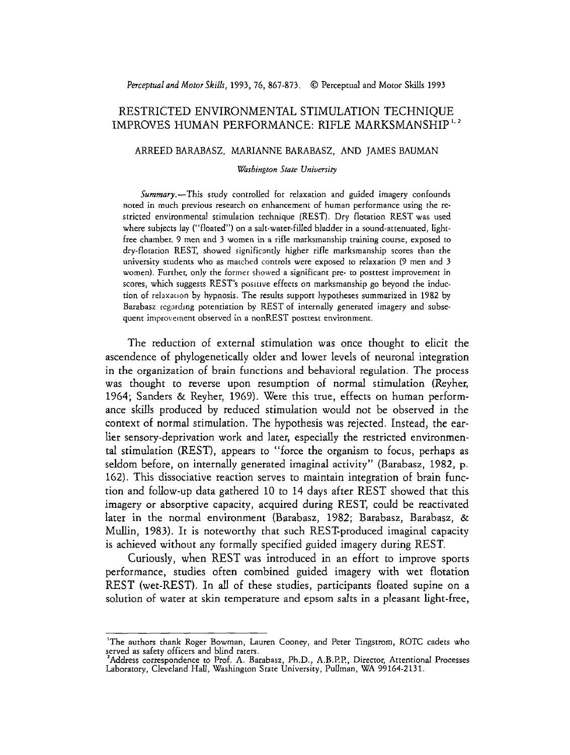# RESTRICTED ENVIRONMENTAL STIMULATION TECHNIQUE IMPROVES HUMAN PERFORMANCE: RIFLE MARKSMANSHIP<sup>1,2</sup>

#### ARREED BARABASZ, MARIANNE BARABASZ, AND JAMES BAUMAN

### **Washington State University**

Summary.-This study controlled for relaxation and guided imagery confounds noted in much previous research on enhancement of human performance using the restricted environmental stimulation technique (REST). Dry flotation REST was used where subjects lay ("floated") on a salt-water-filled bladder in a sound-attenuated, lightfree chamber. 9 men and **3** women in a rifle marksmanship training course, exposed to dry-flotation REST, showed significantly higher rifle marksmanship scores than the university students who as marched controls were exposed to relaxation (9 men and 3 women). Further, **only** the former showed a significant pre- to posttest improvement in scores, which suggests REST's positive effects on marksmanship go beyond the induction of relaxation by hypnosis. The results support hypotheses summarized in 1982 by Barabasz regardng potentiation by REST of internally generated imagery and subsequent improvement observed in a nonREST posttest environment.

The reduction of external stimulation was once thought to elicit the ascendence of phylogenetically older and lower levels of neuronal integration in the organization of brain functions and behavioral regulation. The process was thought to reverse upon resumption of normal stimulation (Reyher, 1964; Sanders & Reyher, 1969). Were this true, effects on human performance skills produced by reduced stimulation would not be observed in the context of normal stimulation. The hypothesis was rejected. Instead, the earlier sensory-deprivation work and later, especially the restricted environmental stimulation (REST), appears to "force the organism to focus, perhaps as seldom before, on internally generated imaginal activity" (Barabasz, 1982, p. 162). This dissociative reaction serves to maintain integration of brain function and follow-up data gathered 10 to 14 days after REST showed that this imagery or absorptive capacity, acquired during REST, could be reactivated later in the normal environment (Barabasz, 1982; Barabasz, Barabasz, & Mullin, 1983). It is noteworthy that such REST-produced imaginal capacity is achieved without any formally specified guided imagery during REST.

Curiously, when REST was introduced in an effort to improve sports performance, studies often combined guided imagery with wet flotation REST (wet-REST). In all of these studies, participants floated supine on a solution of water at skin temperature and epsom salts in a pleasant light-free,

<sup>&#</sup>x27;The authors thank Roger Bowman, Lauren Cooney, and Peter Tingstrom, ROTC cadets who served as safety officers and blind raters.

Address correspondence to Prof. **A.** Barabasz, Ph.D., A.B.PP, Director, Attentional Processes Laboratory, Cleveland Hall, Washington State University, Pullman, WA 99164-2131.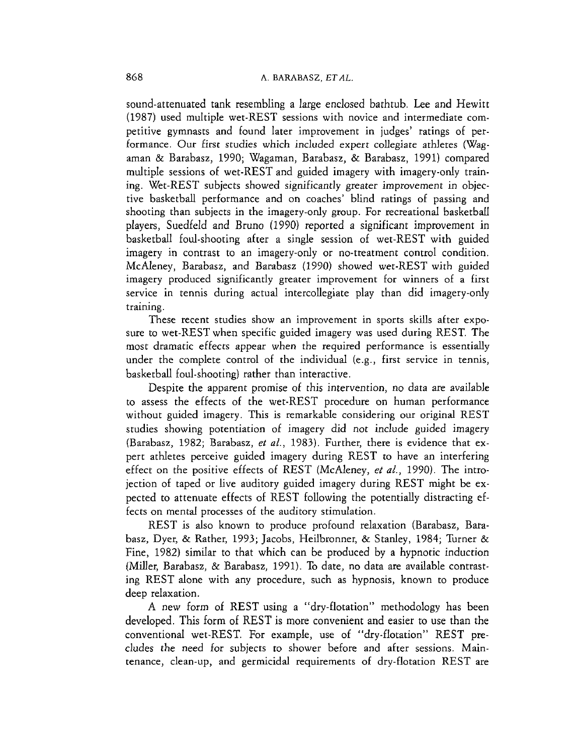sound-attenuated tank resembling a large enclosed bathtub. Lee and Hewitt (1987) used multiple wet-REST sessions with novice and intermediate competitive gymnasts and found later improvement in judges' ratings of performance. Our first studies which included expert collegiate athletes (Wagaman & Barabasz, 1990; Wagaman, Barabasz, & Barabasz, 1991) compared multiple sessions of wet-REST and guided imagery with imagery-only training. Wet-REST subjects showed significantly greater improvement in objective basketball performance and on coaches' blind ratings of passing and shooting than subjects in the imagery-only group. For recreational basketball players, Suedfeld and Bruno (1990) reported a significant improvement in basketball foul-shooting after a single session of wet-REST with guided imagery in contrast to an imagery-only or no-treatment control condition. McAleney, Barabasz, and Barabasz (1990) showed wet-REST with guided imagery produced significantly greater improvement for winners of a first service in tennis during actual intercollegiate play than did imagery-only training.

These recent studies show an improvement in sports skills after exposure to wet-REST when specific guided imagery was used during REST. The most dramatic effects appear when the required performance is essentially under the complete control of the individual (e.g., first service in tennis, basketball foul-shooting) rather than interactive.

Despite the apparent promise of this intervention, no data are available to assess the effects of the wet-REST procedure on human performance without guided imagery. This is remarkable considering our original REST studies showing potentiation of imagery did not include guided imagery (Barabasz, 1982; Barabasz, et al., 1983). Further, there is evidence that expert athletes perceive guided imagery during REST to have an interfering effect on the positive effects of REST (McAleney, *et al.,* 1990). The introjection of taped or live auditory guided imagery during REST might be expected to attenuate effects of REST following the potentially distracting effects on mental processes of the auditory stimulation.

REST is also known to produce profound relaxation (Barabasz, Barabasz, Dyer, & Rather, 1993; Jacobs, Heilbronner, & Stanley, 1984; Turner & Fine, 1982) similar to that which can be produced by a hypnotic induction (Miller, Barabasz, & Barabasz, 1991). To date, no data are available contrasting REST alone with any procedure, such as hypnosis, known to produce deep relaxation.

**A** new form of REST using a "dry-flotation" methodology has been developed. This form of REST is more convenient and easier to use than the conventional wet-REST. For example, use of "dry-flotation" REST precludes the need for subjects to shower before and after sessions. Maintenance, clean-up, and germicidal requirements of dry-flotation REST are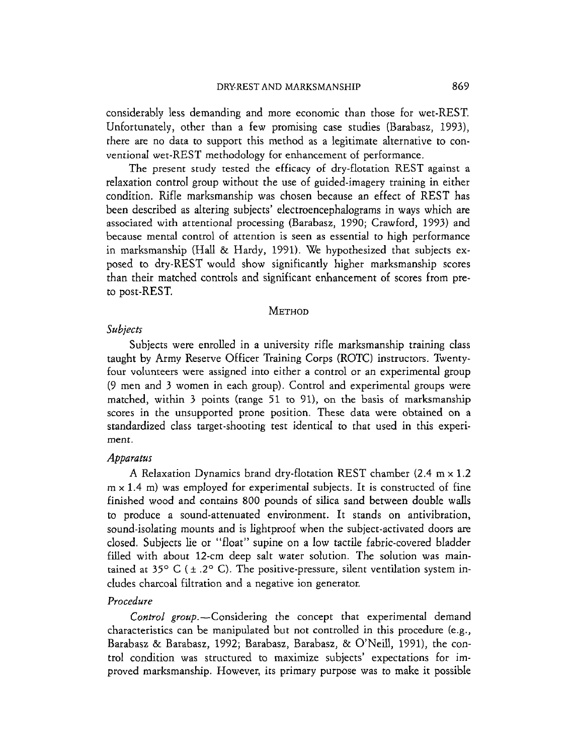considerably less demanding and more economic than those for wet-REST. Unfortunately, other than a few promising case studies (Barabasz, 1993), there are no data to support this method as a legitimate alternative to conventional wet-REST methodology for enhancement of performance.

The present study tested the efficacy of dry-flotation REST against a relaxation control group without the use of guided-imagery training in either condition. Rifle marksmanship was chosen because an effect of REST has been described as altering subjects' electroencephalograms in ways which are associared with attentional processing (Barabasz, 1990; Crawford, 1993) and because mental control of attention is seen as essential to high performance in marksmanship (Hall & Hardy, 1991). We hypothesized that subjects exposed to dry-REST would show significantly higher marksmanship scores than their matched controls and significant enhancement of scores from preto post-REST.

# **METHOD**

# Subjects

Subjects were enrolled in a university rifle marksmanship training class taught by Army Reserve Officer Training Corps (ROTC) instructors. Twentyfour volunteers were assigned into either a control or an experimental group (9 men and 3 women in each group). Control and experimental groups were matched, within 3 points (range 51 to 91), on the basis of marksmanship scores in the unsupported prone position. These data were obtained on a standardized class target-shooting test identical to that used in this experiment.

# Apparatus

**A** Relaxation Dynamics brand dry-flotation REST chamber (2.4 m **x** 1.2 m **x** 1.4 m) was employed for experimental subjects. It is constructed of fine finished wood and contains 800 pounds of sihca sand between double walls to produce a sound-attenuated environment. It stands on antivibration, sound-isolating mounts and is lightproof when the subject-activated doors are closed. Subjects lie or "float" supine on a low tactile fabric-covered bladder filled with about 12-cm deep salt water solution. The solution was maintained at  $35^{\circ}$  C ( $\pm$  .2° C). The positive-pressure, silent ventilation system includes charcoal filtration and a negative ion generator.

# Procedure

Control group.--Considering the concept that experimental demand characteristics can be manipulated but not controlled in this procedure (e.g., Barabasz & Barabasz, 1992; Barabasz, Barabasz, & O'Nedl, 1991), the control condition was structured to maximize subjects' expectations for improved marksmanship. However, its primary purpose was to make it possible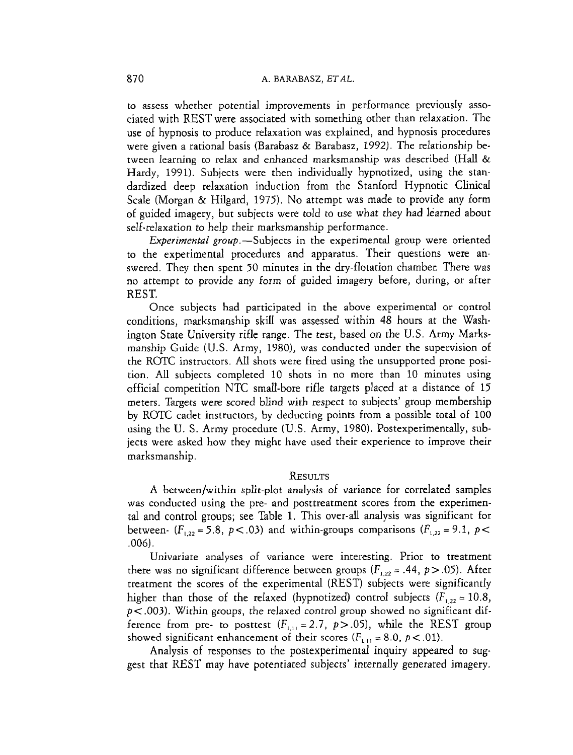to assess whether potential improvements in performance previously associated with REST were associated with something other than relaxation. The use of hypnosis to produce relaxation was explained, and hypnosis procedures were given a rational basis (Barabasz & Barabasz, 1992). The relationship between learning to relax and enhanced marksmanship was described (Hall & Hardy, 1991). Subjects were then individually hypnotized, using the standardized deep relaxation induction from the Stanford Hypnotic Clinical Scale (Morgan & Hilgard, 1975). No attempt was made to provide any form of guided imagery, but subjects were told to use what they had learned about self-relaxation to help their marksmanship performance.

Experimental group.-Subjects in the experimental group were oriented to the experimental procedures and apparatus. Their questions were answered. They then spent 50 minutes in the dry-flotation chamber. There was no attempt to provide any form of guided imagery before, during, or after REST.

Once subjects had participated in the above experimental or control conditions, marksmanship skill was assessed within 48 hours at the Washington State University rifle range. The test, based on the U.S. Army Marksmanship Guide (U.S. Army, 1780), was conducted under the supervision of the ROTC instructors. All shots were fired using the unsupported prone position. All subjects completed 10 shots in no more than 10 minutes using official competition NTC small-bore rifle targets placed at a distance of 15 meters. Targets were scored blind with respect to subjects' group membership by ROTC cadet instructors, by deducting points from a possible total of 100 using the U. S. Army procedure (U.S. Army, 1980). Postexperimentally, subjects were asked how they might have used their experience to improve their marksmanship.

### RESULTS

A between/within split-plot analysis of variance for correlated samples was conducted using the pre- and posttreatment scores from the experimental and control groups; see Table 1. This over-all analysis was significant for between-  $(F_{1,22} = 5.8, p < .03)$  and within-groups comparisons  $(F_{1,22} = 9.1, p < .01)$ ,006).

Univariate analyses of variance were interesting. Prior to treatment there was no significant difference between groups  $(F_{1,22} = .44, p > .05)$ . After treatment the scores of the experimental (REST) subjects were significantly higher than those of the relaxed (hypnotized) control subjects  $(F_{1,22} = 10.8)$ , *p<* ,003). Within groups, the relaxed control group showed no significant difference from pre- to posttest  $(F_{i,j} = 2.7, p > .05)$ , while the REST group showed significant enhancement of their scores  $(F_{1,11} = 8.0, p < .01)$ .

Analysis of responses to the postexperimental inquiry appeared to suggest that REST may have potentiated subjects' internally generated imagery.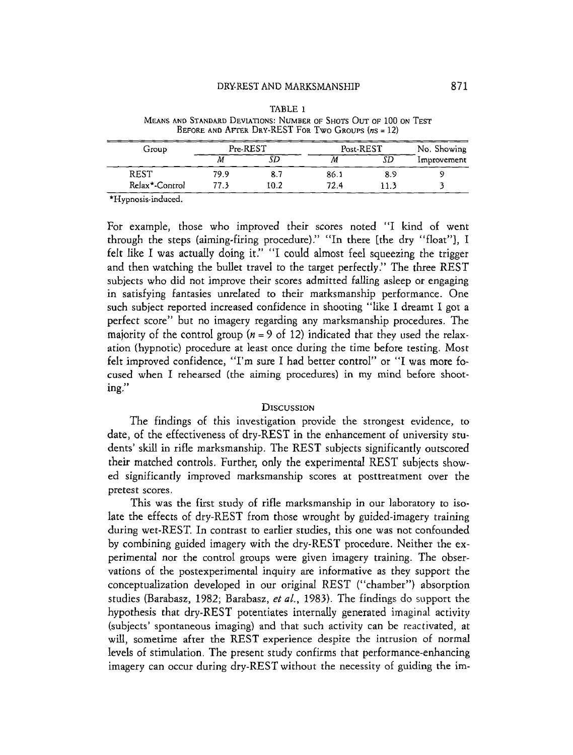# DRY-REST AND MARKSMANSHIP

|                | DNI-NEST AIND MANNSMANSHIP |         |                                                                                                                           |     | 011         |
|----------------|----------------------------|---------|---------------------------------------------------------------------------------------------------------------------------|-----|-------------|
|                |                            | TABLE 1 | MEANS AND STANDARD DEVIATIONS: NUMBER OF SHOTS OUT OF 100 ON TEST<br>BEFORE AND AFTER DRY-REST FOR TWO GROUPS $(nS = 12)$ |     |             |
| Group          | Pre-REST                   |         | Post-REST                                                                                                                 |     | No. Showing |
|                | М                          | SĐ      | М                                                                                                                         | SG  | Improvement |
| REST           | 79.9                       | 8.7     | 86.1                                                                                                                      | 8.9 |             |
| Relax*-Control | 77.3                       | 10.2    | 72.4                                                                                                                      | 113 |             |

| TABLE 1                                                           |
|-------------------------------------------------------------------|
| Means and Standard Deviations: Number of Shots Out of 100 on Test |
| BEFORE AND AFTER DRY-REST FOR TWO GROUPS $(nS = 12)$              |

\*Hypnosis-induced.

For example, those who improved their scores noted "I kind of went through the steps (aiming-firing procedure)." "In there [the dry "float"], I felt like I was actually doing it." "I could almost feel squeezing the trigger and then watching the bullet travel to the target perfectly." The three REST subjects who did not improve their scores admitted falling asleep or engaging in satisfying fantasies unrelated to their marksmanship performance. One such subject reported increased confidence in shooting "like I dreamt I got a perfect score" but no imagery regarding any marksmanship procedures. The majority of the control group  $(n = 9$  of 12) indicated that they used the relaxation (hypnotic) procedure at least once during the time before testing. Most felt improved confidence, "I'm sure I had better control" or "I was more focused when I rehearsed (the aiming procedures) in my mind before shooting."

### DISCUSSION

The findings of this investigation provide the strongest evidence, to date, of the effectiveness of dry-REST in the enhancement of university students' skill in rifle marksmanship. The REST subjects significantly outscored their matched controls. Further, only the experimental REST subjects showed significantly improved marksmanship scores at posttreatment over the pretest scores.

This was the first study of rifle marksmanship in our laboratory to isolate the effects of dry-REST from those wrought by guided-imagery training during wet-REST. In contrast to earlier studies, this one was not confounded by combining guided imagery with the dry-REST procedure. Neither the experimental nor the control groups were given imagery training. The observations of the postexperimental inquiry are informative as they support the conceptualizarion developed in our original REST ("chamber") absorption studies (Barabasz, 1982; Barabasz, et *al.,* 1983). The findings do support the hypothesis that dry-REST potentiates internally generated imaginal activity (subjects' spontaneous imaging) and that such activity can be reactivated, at will, sometime after the REST experience despite the intrusion of normal levels of stimulation. The present study confirms that performance-enhancing imagery can occur during dry-REST without the necessity of guiding the im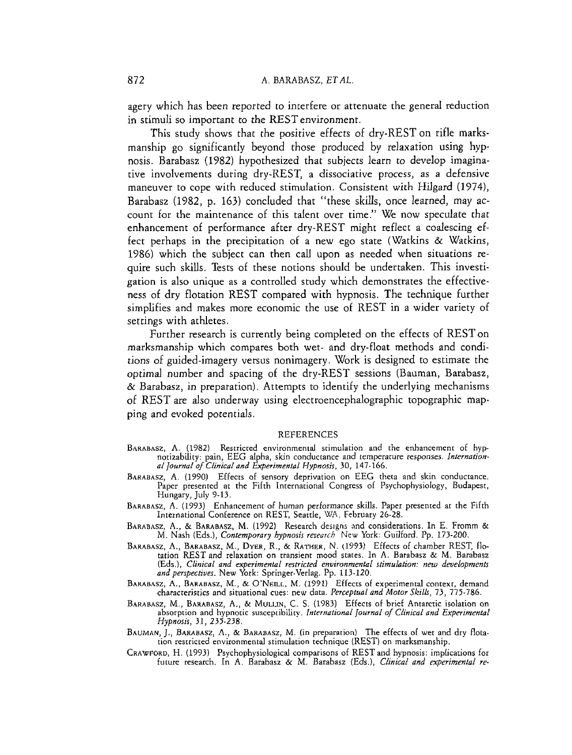agery which has been reported to interfere or attenuate the general reduction in stimuli so important to the RESTenvironment.

This study shows that the positive effects of dry-REST on rifle marksmanship go significantly beyond those produced by relaxation using hypnosis. Barabasz (1982) hypothesized that subjects learn to develop imaginative involvements during dry-REST, a dissociative process, as a defensive maneuver to cope with reduced stimulation. Consistent with Hilgard (1974), Barabasz (1982, p. 163) concluded that "these skills, once learned, may account for the maintenance of this talent over time." We now speculate that enhancement of performance after dry-REST might reflect a coalescing effect perhaps in the precipitation of a new ego state (Watkins & Watkins, 1986) which the subject can then call upon as needed when situations require such skills. Tests of these notions should be undertaken. This investigation is also unique as a controlled study which demonstrates the effectiveness of dry flotation REST compared with hypnosis. The technique further simplifies and makes more economic the use of REST in a wider variety of settings with athletes.

Further research is currently being completed on the effects of RESTon marksmanship which compares both wet- and dry-float methods and conditions of guided-imagery versus nonimagery. Work is designed to estimate the optimal number and spacing of the dry-REST sessions (Bauman, Barabasz, & Barabasz, in preparation). Attempts to identify the underlying mechanisms of REST are also underway using electroencephalographic topographic mapping and evoked potentials.

### REFERENCES

- BARABASZ, **A.** (1982) Restricted environmental stimulation and the enhancement of hypnotizability: pain, EEG alpha, skin conductance and temperature responses. *Infernationa/ Journal of Clinical and Erperimenfal Hypnosij,* 30, 147-166.
- BARABASZ, A. (1990) Effects of sensory deprivation on EEG theta and skin conductance. Paper presented at the Fifth International Congress of Psychophysiology, Budapest, Hungary, July 9-13.
- BARABASZ, A. (1993) Enhancement of human performance skills. Paper presented at the Fifth International Conference on REST, Seattle, WA, February 26-28.
- BARABASZ, A., & BARABASZ, M. (1992) Research designs and considerations. In E. Fromm & M. Nash (Eds.), *Contemporary hypnosis reseorch* New York: Guilford. Pp. 173-200.
- BARABASZ, A., BARABASZ, M., DYER, R., & RATHER, N. (1993) Effects of chamber REST, flotation REST and relaxation on transient mood states. In A. Barabasz & M. Barabasz (Eds.), *Clinical and experimental restricted environmental stimulation: new developments and perspectives.* New York: Springer-Verlag. Pp. 113-120.
- BARABASZ, A., BARABASZ, M., & O'NEILL, M. (1991) Effects of experimental context, demand<br>characteristics and situational cues: new data. *Perceptual and Motor Skills*, 73, 775-786.
- BARABASZ, M., BARABASZ, **A,,** & MULLIN, C. S. (1983) Effects of brief Antarctic isolation on absorption and hypnotic susceptibiliry. *Internahonaf Journal* of *Clinical and Experimental Hypnosis,* 31, 235-238.
- BAUMAN, J., BARABASZ, A., & BARABASZ, M. (in preparation) The effects of wet and drv flotation restricted environmental stimulation technique (REST) on marksmanship.
- CRAWFORD, H. (1993) Psychophysiological comparisons of REST and hypnosis: implications for future research. In A. Barabasz & M. Barabasz (Eds.), *Clinical and experimental re-*